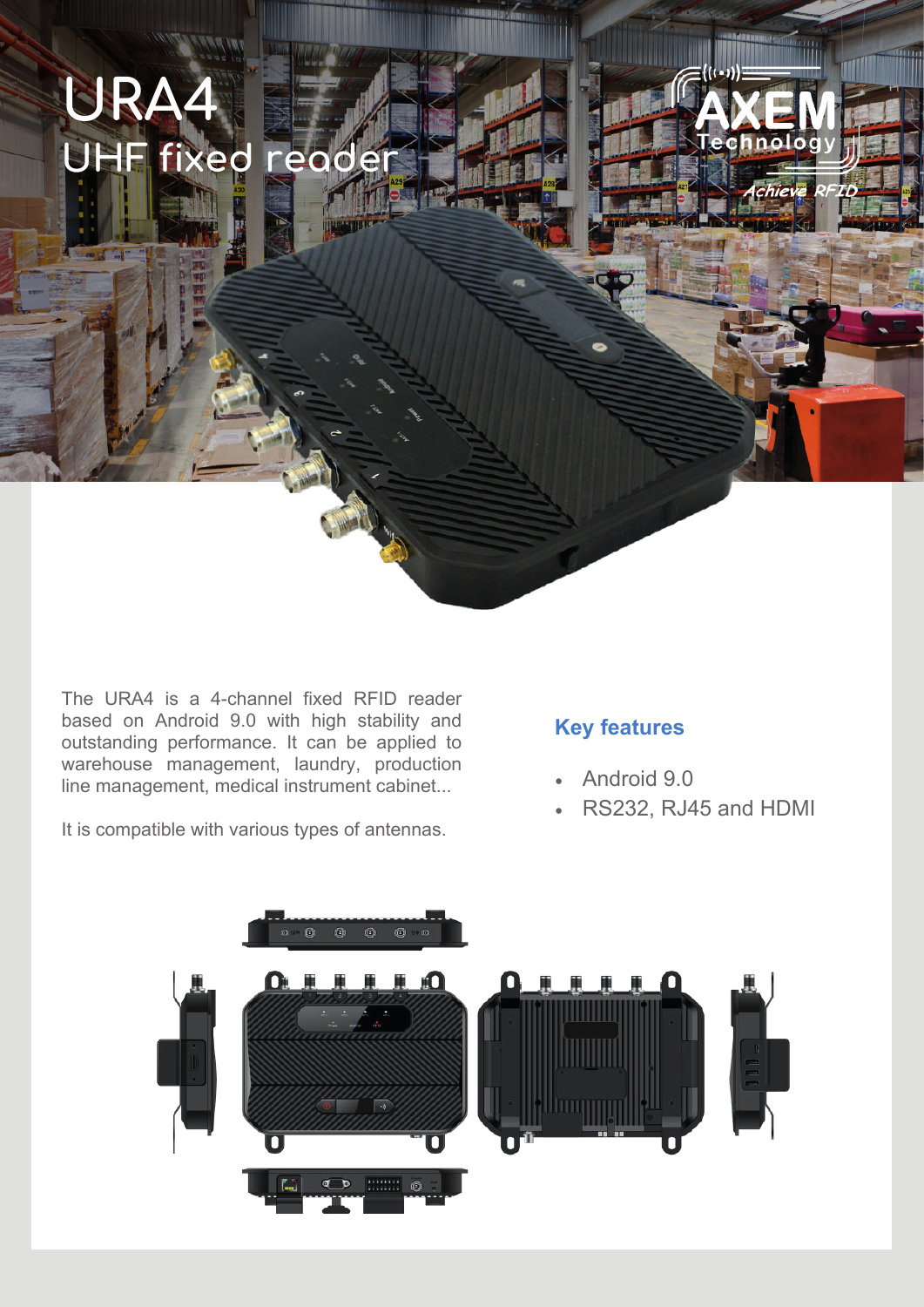

**URA4**

**UHF fixed reader**

atible with verteur types of optoppes  $\frac{1}{2}$ It is compatible with various types of antennas.

### **Key features**

- Android 9.0
- RS232, RJ45 and HDMI

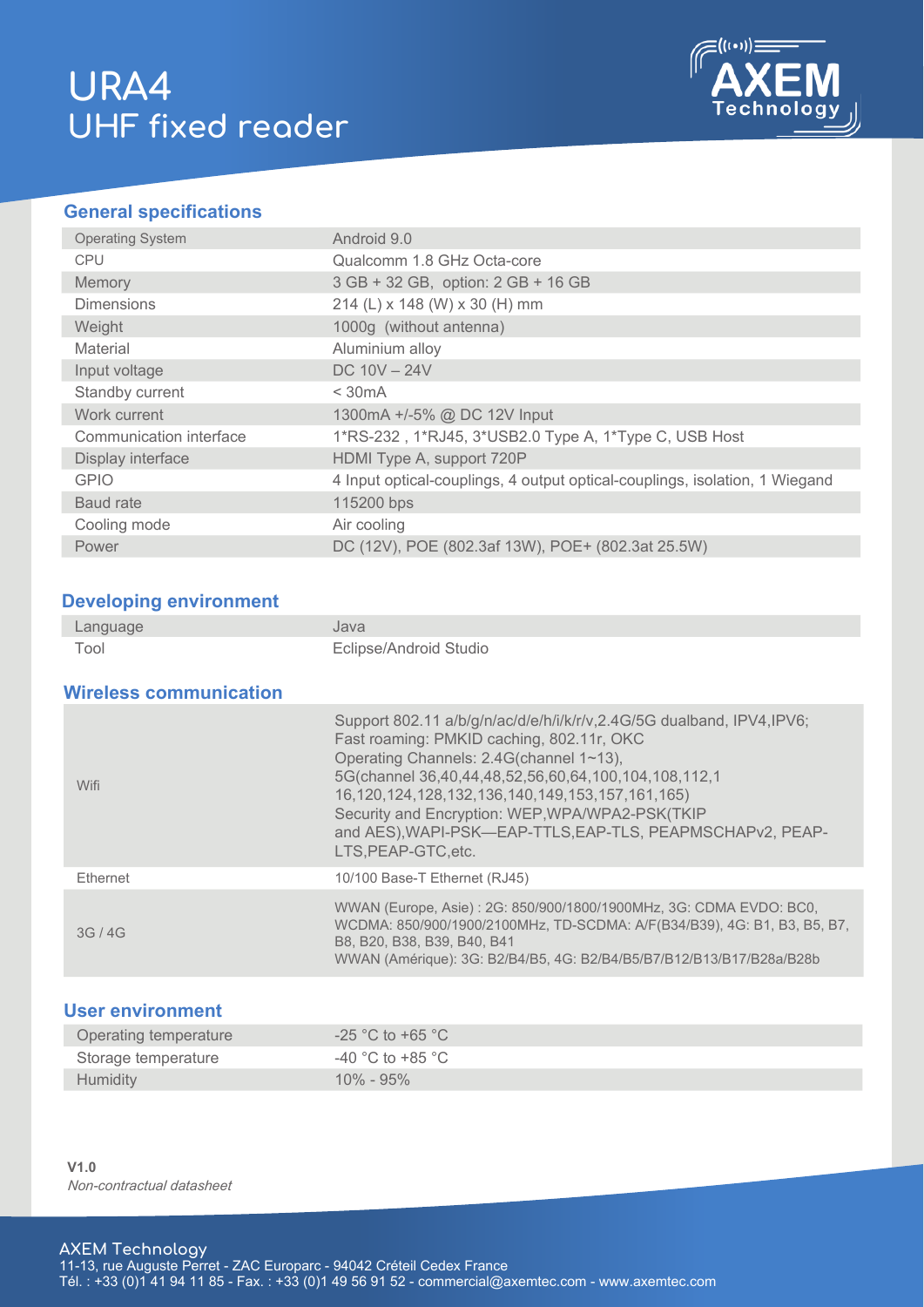# **URA4 UHF fixed reader**



#### **General specifications**

| <b>Operating System</b> | Android 9.0                                                                 |
|-------------------------|-----------------------------------------------------------------------------|
| <b>CPU</b>              | Qualcomm 1.8 GHz Octa-core                                                  |
| Memory                  | 3 GB + 32 GB, option: 2 GB + 16 GB                                          |
| <b>Dimensions</b>       | 214 (L) x 148 (W) x 30 (H) mm                                               |
| Weight                  | 1000g (without antenna)                                                     |
| Material                | Aluminium alloy                                                             |
| Input voltage           | DC $10V - 24V$                                                              |
| Standby current         | $<$ 30 mA                                                                   |
| Work current            | 1300mA +/-5% @ DC 12V Input                                                 |
| Communication interface | 1*RS-232, 1*RJ45, 3*USB2.0 Type A, 1*Type C, USB Host                       |
| Display interface       | HDMI Type A, support 720P                                                   |
| <b>GPIO</b>             | 4 Input optical-couplings, 4 output optical-couplings, isolation, 1 Wiegand |
| Baud rate               | 115200 bps                                                                  |
| Cooling mode            | Air cooling                                                                 |
| Power                   | DC (12V), POE (802.3af 13W), POE+ (802.3at 25.5W)                           |

#### **Developing environment**

| Language                      | Java                                                                                                                                                                                                                                                                                                                                                                                                                    |
|-------------------------------|-------------------------------------------------------------------------------------------------------------------------------------------------------------------------------------------------------------------------------------------------------------------------------------------------------------------------------------------------------------------------------------------------------------------------|
| Tool                          | Eclipse/Android Studio                                                                                                                                                                                                                                                                                                                                                                                                  |
| <b>Wireless communication</b> |                                                                                                                                                                                                                                                                                                                                                                                                                         |
|                               |                                                                                                                                                                                                                                                                                                                                                                                                                         |
| Wifi                          | Support 802.11 a/b/g/n/ac/d/e/h/i/k/r/v,2.4G/5G dualband, IPV4,IPV6;<br>Fast roaming: PMKID caching, 802.11r, OKC<br>Operating Channels: 2.4G(channel 1~13),<br>5G(channel 36,40,44,48,52,56,60,64,100,104,108,112,1<br>16, 120, 124, 128, 132, 136, 140, 149, 153, 157, 161, 165)<br>Security and Encryption: WEP, WPA/WPA2-PSK(TKIP<br>and AES), WAPI-PSK-EAP-TTLS, EAP-TLS, PEAPMSCHAPv2, PEAP-<br>LTS.PEAP-GTC.etc. |

Ethernet 10/100 Base-T Ethernet (RJ45) 3G / 4G WWAN (Europe, Asie) : 2G: 850/900/1800/1900MHz, 3G: CDMA EVDO: BC0, WCDMA: 850/900/1900/2100MHz, TD-SCDMA: A/F(B34/B39), 4G: B1, B3, B5, B7, B8, B20, B38, B39, B40, B41 WWAN (Amérique): 3G: B2/B4/B5, 4G: B2/B4/B5/B7/B12/B13/B17/B28a/B28b

### **User environment**

| Operating temperature | $-25$ °C to +65 °C                   |
|-----------------------|--------------------------------------|
| Storage temperature   | -40 $^{\circ}$ C to +85 $^{\circ}$ C |
| <b>Humidity</b>       | $10\% - 95\%$                        |